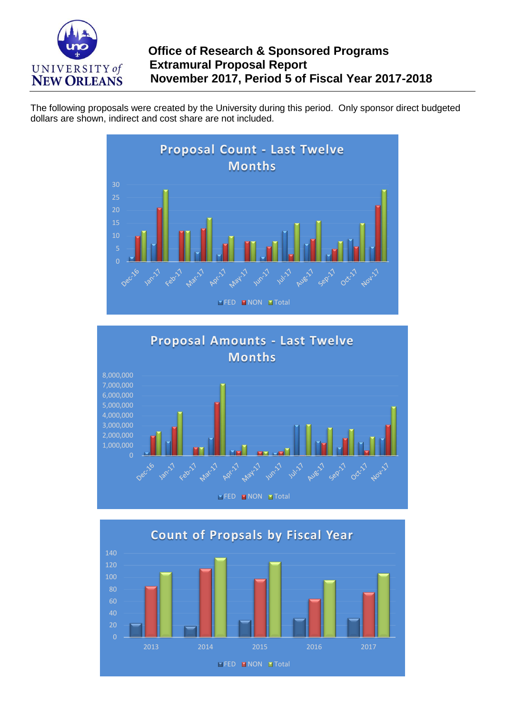

The following proposals were created by the University during this period. Only sponsor direct budgeted dollars are shown, indirect and cost share are not included.





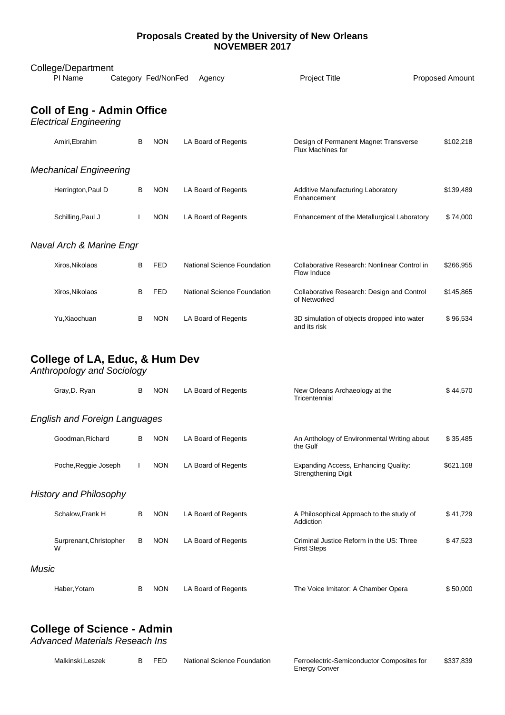## **Proposals Created by the University of New Orleans NOVEMBER 2017**

| College/Department<br>PI Name<br><b>Project Title</b><br>Proposed Amount<br>Category Fed/NonFed<br>Agency |                    |  |   |            |                             |                                                             |           |
|-----------------------------------------------------------------------------------------------------------|--------------------|--|---|------------|-----------------------------|-------------------------------------------------------------|-----------|
|                                                                                                           |                    |  |   |            |                             |                                                             |           |
| <b>Coll of Eng - Admin Office</b><br><b>Electrical Engineering</b>                                        |                    |  |   |            |                             |                                                             |           |
|                                                                                                           | Amiri, Ebrahim     |  | B | <b>NON</b> | LA Board of Regents         | Design of Permanent Magnet Transverse<br>Flux Machines for  | \$102,218 |
| <b>Mechanical Engineering</b>                                                                             |                    |  |   |            |                             |                                                             |           |
|                                                                                                           | Herrington, Paul D |  | B | <b>NON</b> | LA Board of Regents         | <b>Additive Manufacturing Laboratory</b><br>Enhancement     | \$139,489 |
|                                                                                                           | Schilling, Paul J  |  |   | <b>NON</b> | LA Board of Regents         | Enhancement of the Metallurgical Laboratory                 | \$74,000  |
| Naval Arch & Marine Engr                                                                                  |                    |  |   |            |                             |                                                             |           |
|                                                                                                           | Xiros, Nikolaos    |  | B | <b>FED</b> | National Science Foundation | Collaborative Research: Nonlinear Control in<br>Flow Induce | \$266,955 |
|                                                                                                           | Xiros, Nikolaos    |  | B | <b>FED</b> | National Science Foundation | Collaborative Research: Design and Control<br>of Networked  | \$145,865 |
|                                                                                                           | Yu, Xiaochuan      |  | B | <b>NON</b> | LA Board of Regents         | 3D simulation of objects dropped into water<br>and its risk | \$96,534  |

## **College of LA, Educ, & Hum Dev**

*Anthropology and Sociology*

|                               | Gray, D. Ryan                        | B | <b>NON</b> | LA Board of Regents | New Orleans Archaeology at the<br>Tricentennial                    | \$44,570  |
|-------------------------------|--------------------------------------|---|------------|---------------------|--------------------------------------------------------------------|-----------|
|                               | <b>English and Foreign Languages</b> |   |            |                     |                                                                    |           |
|                               | Goodman, Richard                     | B | <b>NON</b> | LA Board of Regents | An Anthology of Environmental Writing about<br>the Gulf            | \$35,485  |
|                               | Poche, Reggie Joseph                 |   | <b>NON</b> | LA Board of Regents | Expanding Access, Enhancing Quality:<br><b>Strengthening Digit</b> | \$621,168 |
| <b>History and Philosophy</b> |                                      |   |            |                     |                                                                    |           |
|                               | Schalow, Frank H                     | В | <b>NON</b> | LA Board of Regents | A Philosophical Approach to the study of<br>Addiction              | \$41,729  |
|                               | Surprenant, Christopher<br>W         | B | <b>NON</b> | LA Board of Regents | Criminal Justice Reform in the US: Three<br><b>First Steps</b>     | \$47,523  |
| Music                         |                                      |   |            |                     |                                                                    |           |
|                               | Haber, Yotam                         | B | <b>NON</b> | LA Board of Regents | The Voice Imitator: A Chamber Opera                                | \$50,000  |

## **College of Science - Admin**

*Advanced Materials Reseach Ins*

| Malkinski.Leszek | <b>FFD</b> | National Science Foundation | Ferroelectric-Semiconductor Composites for | \$337.839 |
|------------------|------------|-----------------------------|--------------------------------------------|-----------|
|                  |            |                             | <b>Energy Conver</b>                       |           |